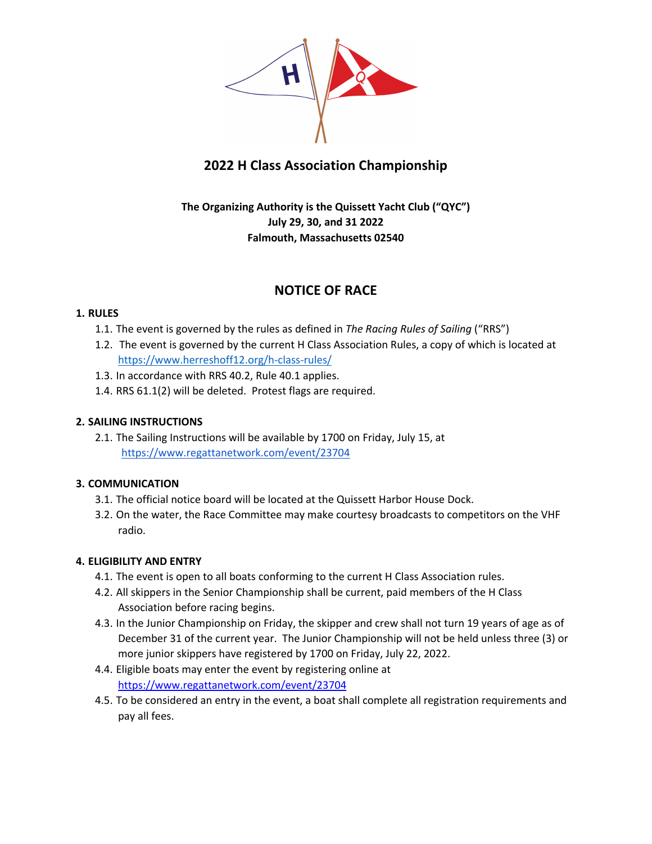

# **2022 H Class Association Championship**

## **The Organizing Authority is the Quissett Yacht Club ("QYC") July 29, 30, and 31 2022 Falmouth, Massachusetts 02540**

## **NOTICE OF RACE**

## **1. RULES**

- 1.1. The event is governed by the rules as defined in *The Racing Rules of Sailing* ("RRS")
- 1.2. The event is governed by the current H Class Association Rules, a copy of which is located at https://www.herreshoff12.org/h-class-rules/
- 1.3. In accordance with RRS 40.2, Rule 40.1 applies.
- 1.4. RRS 61.1(2) will be deleted. Protest flags are required.

## **2. SAILING INSTRUCTIONS**

2.1. The Sailing Instructions will be available by 1700 on Friday, July 15, at https://www.regattanetwork.com/event/23704

## **3. COMMUNICATION**

- 3.1. The official notice board will be located at the Quissett Harbor House Dock.
- 3.2. On the water, the Race Committee may make courtesy broadcasts to competitors on the VHF radio.

## **4. ELIGIBILITY AND ENTRY**

- 4.1. The event is open to all boats conforming to the current H Class Association rules.
- 4.2. All skippers in the Senior Championship shall be current, paid members of the H Class Association before racing begins.
- 4.3. In the Junior Championship on Friday, the skipper and crew shall not turn 19 years of age as of December 31 of the current year. The Junior Championship will not be held unless three (3) or more junior skippers have registered by 1700 on Friday, July 22, 2022.
- 4.4. Eligible boats may enter the event by registering online at https://www.regattanetwork.com/event/23704
- 4.5. To be considered an entry in the event, a boat shall complete all registration requirements and pay all fees.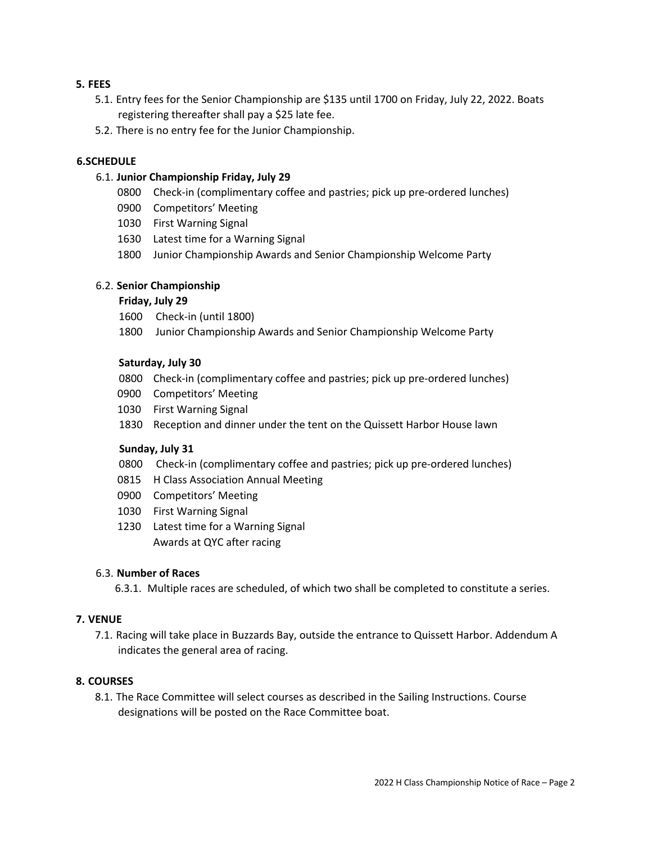#### **5. FEES**

- 5.1. Entry fees for the Senior Championship are \$135 until 1700 on Friday, July 22, 2022. Boats registering thereafter shall pay a \$25 late fee.
- 5.2. There is no entry fee for the Junior Championship.

#### **6.SCHEDULE**

#### 6.1. **Junior Championship Friday, July 29**

- 0800 Check-in (complimentary coffee and pastries; pick up pre-ordered lunches)
- 0900 Competitors' Meeting
- 1030 First Warning Signal
- 1630 Latest time for a Warning Signal
- 1800 Junior Championship Awards and Senior Championship Welcome Party

#### 6.2. **Senior Championship**

#### **Friday, July 29**

- 1600 Check-in (until 1800)
- 1800 Junior Championship Awards and Senior Championship Welcome Party

#### **Saturday, July 30**

- 0800 Check-in (complimentary coffee and pastries; pick up pre-ordered lunches)
- 0900 Competitors' Meeting
- 1030 First Warning Signal
- 1830 Reception and dinner under the tent on the Quissett Harbor House lawn

#### **Sunday, July 31**

- 0800 Check-in (complimentary coffee and pastries; pick up pre-ordered lunches)
- 0815 H Class Association Annual Meeting
- 0900 Competitors' Meeting
- 1030 First Warning Signal
- 1230 Latest time for a Warning Signal Awards at QYC after racing

#### 6.3. **Number of Races**

6.3.1. Multiple races are scheduled, of which two shall be completed to constitute a series.

#### **7. VENUE**

7.1. Racing will take place in Buzzards Bay, outside the entrance to Quissett Harbor. Addendum A indicates the general area of racing.

#### **8. COURSES**

8.1. The Race Committee will select courses as described in the Sailing Instructions. Course designations will be posted on the Race Committee boat.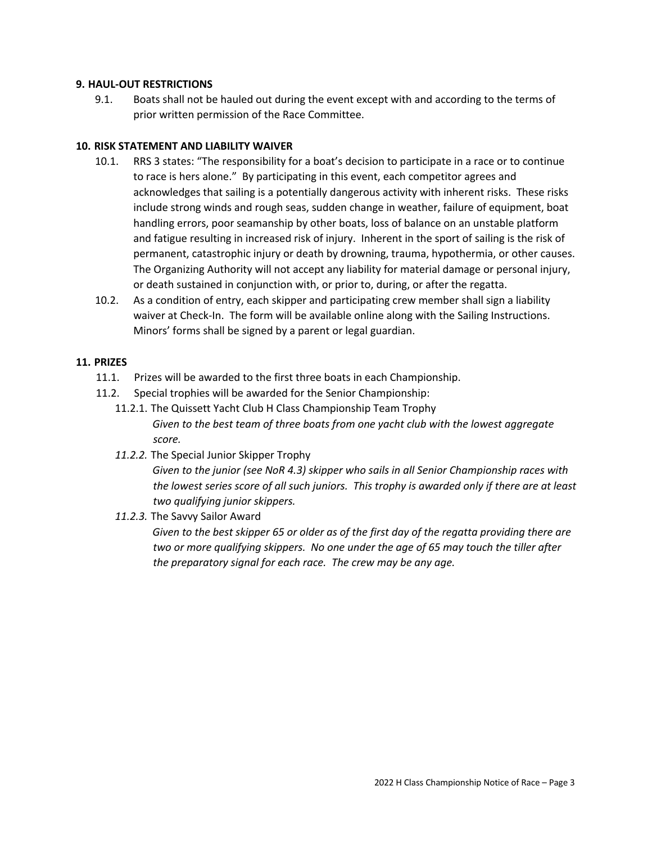#### **9. HAUL-OUT RESTRICTIONS**

9.1. Boats shall not be hauled out during the event except with and according to the terms of prior written permission of the Race Committee.

#### **10. RISK STATEMENT AND LIABILITY WAIVER**

- 10.1. RRS 3 states: "The responsibility for a boat's decision to participate in a race or to continue to race is hers alone." By participating in this event, each competitor agrees and acknowledges that sailing is a potentially dangerous activity with inherent risks. These risks include strong winds and rough seas, sudden change in weather, failure of equipment, boat handling errors, poor seamanship by other boats, loss of balance on an unstable platform and fatigue resulting in increased risk of injury. Inherent in the sport of sailing is the risk of permanent, catastrophic injury or death by drowning, trauma, hypothermia, or other causes. The Organizing Authority will not accept any liability for material damage or personal injury, or death sustained in conjunction with, or prior to, during, or after the regatta.
- 10.2. As a condition of entry, each skipper and participating crew member shall sign a liability waiver at Check-In. The form will be available online along with the Sailing Instructions. Minors' forms shall be signed by a parent or legal guardian.

#### **11. PRIZES**

- 11.1. Prizes will be awarded to the first three boats in each Championship.
- 11.2. Special trophies will be awarded for the Senior Championship:
	- 11.2.1. The Quissett Yacht Club H Class Championship Team Trophy *Given to the best team of three boats from one yacht club with the lowest aggregate score.*
	- *11.2.2.* The Special Junior Skipper Trophy

*Given to the junior (see NoR 4.3) skipper who sails in all Senior Championship races with the lowest series score of all such juniors. This trophy is awarded only if there are at least two qualifying junior skippers.* 

*11.2.3.* The Savvy Sailor Award

*Given to the best skipper 65 or older as of the first day of the regatta providing there are two or more qualifying skippers. No one under the age of 65 may touch the tiller after the preparatory signal for each race. The crew may be any age.*